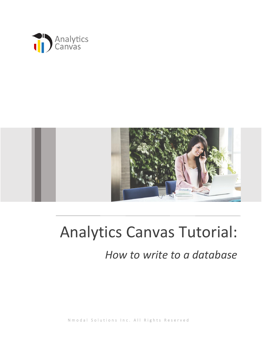



# Analytics Canvas Tutorial:

## *How to write to a database*

N m o d a l S o l u t i o n s I n c . All Rights Reserved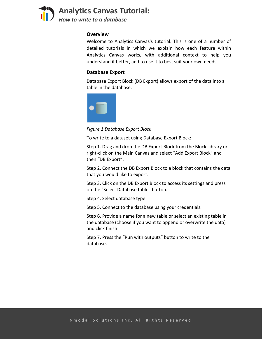

**Analytics Canvas Tutorial:**  *How to write to a database*

#### **Overview**

Welcome to Analytics Canvas's tutorial. This is one of a number of detailed tutorials in which we explain how each feature within Analytics Canvas works, with additional context to help you understand it better, and to use it to best suit your own needs.

#### **Database Export**

Database Export Block (DB Export) allows export of the data into a table in the database.



*Figure 1 Database Export Block*

To write to a dataset using Database Export Block:

Step 1. Drag and drop the DB Export Block from the Block Library or right-click on the Main Canvas and select "Add Export Block" and then "DB Export".

Step 2. Connect the DB Export Block to a block that contains the data that you would like to export.

Step 3. Click on the DB Export Block to access its settings and press on the "Select Database table" button.

Step 4. Select database type.

Step 5. Connect to the database using your credentials.

Step 6. Provide a name for a new table or select an existing table in the database (choose if you want to append or overwrite the data) and click finish.

Step 7. Press the "Run with outputs" button to write to the database.